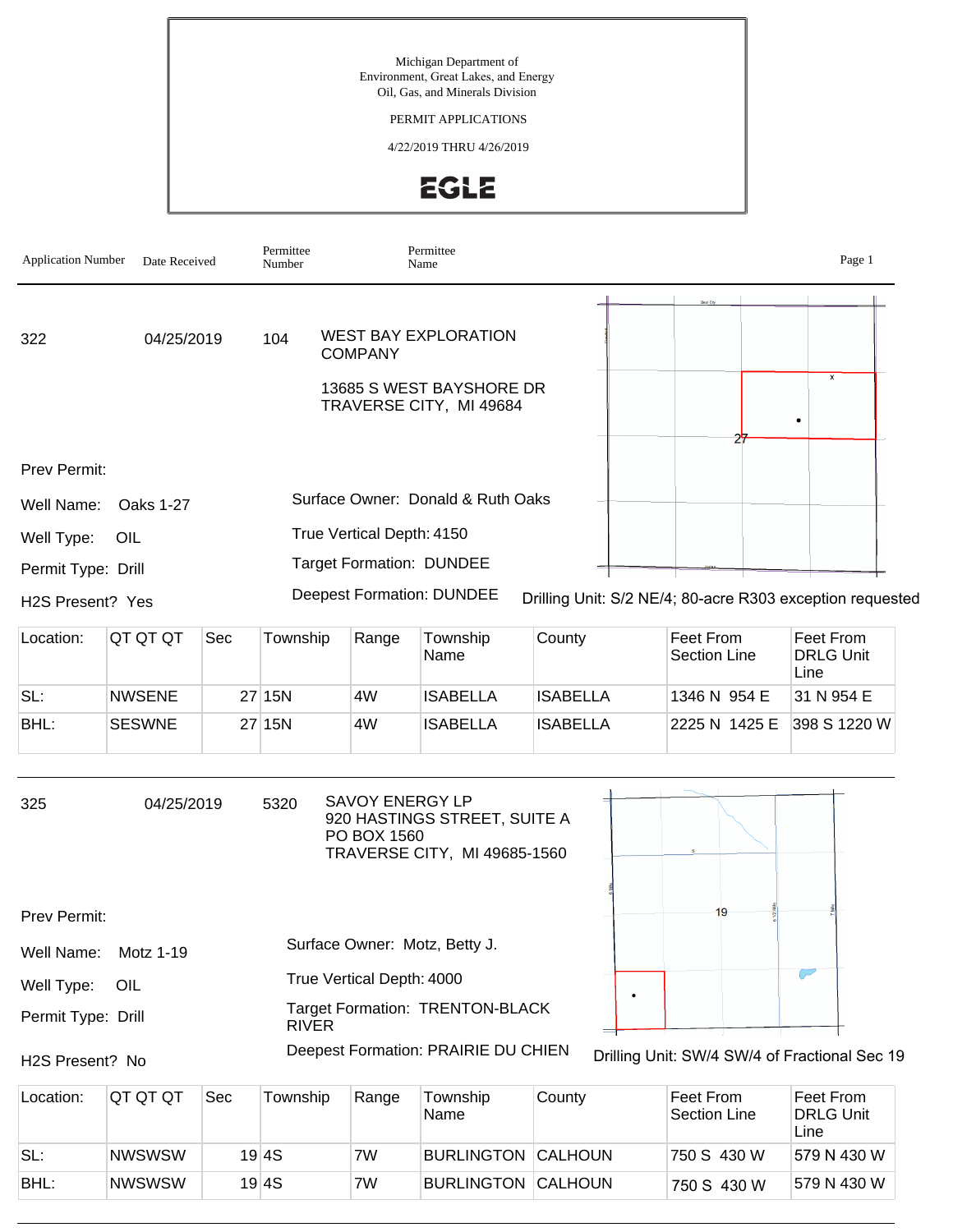# PERMIT APPLICATIONS

### 4/22/2019 THRU 4/26/2019



| <b>Application Number</b> | Date Received    |     | Permittee<br>Number |                                       | Permittee<br>Name                                            |                 |                                                           | Page 1                                |
|---------------------------|------------------|-----|---------------------|---------------------------------------|--------------------------------------------------------------|-----------------|-----------------------------------------------------------|---------------------------------------|
| 322                       | 04/25/2019       |     | 104                 | <b>COMPANY</b>                        | <b>WEST BAY EXPLORATION</b>                                  |                 |                                                           | $\pmb{\times}$                        |
|                           |                  |     |                     |                                       | 13685 S WEST BAYSHORE DR<br>TRAVERSE CITY, MI 49684          |                 |                                                           | ٠                                     |
| Prev Permit:              |                  |     |                     |                                       |                                                              |                 | 27                                                        |                                       |
| Well Name:                | <b>Oaks 1-27</b> |     |                     |                                       | Surface Owner: Donald & Ruth Oaks                            |                 |                                                           |                                       |
| Well Type:                | OIL              |     |                     | True Vertical Depth: 4150             |                                                              |                 |                                                           |                                       |
| Permit Type: Drill        |                  |     |                     |                                       | <b>Target Formation: DUNDEE</b>                              |                 |                                                           |                                       |
| H2S Present? Yes          |                  |     |                     |                                       | <b>Deepest Formation: DUNDEE</b>                             |                 | Drilling Unit: S/2 NE/4; 80-acre R303 exception requested |                                       |
| Location:                 | QT QT QT         | Sec | Township            | Range                                 | Township<br>Name                                             | County          | Feet From<br><b>Section Line</b>                          | Feet From<br><b>DRLG Unit</b><br>Line |
| SL:                       | <b>NWSENE</b>    |     | 27 15N              | 4W                                    | <b>ISABELLA</b>                                              | <b>ISABELLA</b> | 1346 N 954 E                                              | 31 N 954 E                            |
| BHL:                      | <b>SESWNE</b>    |     | 27 15N              | 4W                                    | <b>ISABELLA</b>                                              | <b>ISABELLA</b> | 2225 N 1425 E                                             | 398 S 1220 W                          |
| 325                       | 04/25/2019       |     | 5320                | <b>SAVOY ENERGY LP</b><br>PO BOX 1560 | 920 HASTINGS STREET, SUITE A<br>TRAVERSE CITY, MI 49685-1560 |                 |                                                           |                                       |
| Prev Permit:              |                  |     |                     |                                       |                                                              |                 | 19                                                        |                                       |
| Well Name:                | Motz 1-19        |     |                     |                                       | Surface Owner: Motz, Betty J.                                |                 |                                                           |                                       |
| Well Type:                | OIL              |     |                     | True Vertical Depth: 4000             |                                                              |                 |                                                           |                                       |
| Permit Type: Drill        |                  |     | <b>RIVER</b>        |                                       | <b>Target Formation: TRENTON-BLACK</b>                       |                 |                                                           |                                       |
| H2S Present? No           |                  |     |                     |                                       | Deepest Formation: PRAIRIE DU CHIEN                          |                 | Drilling Unit: SW/4 SW/4 of Fractional Sec 19             |                                       |
| Location:                 | QT QT QT         | Sec | Township            | Range                                 | Township                                                     | County          | Feet From                                                 | Feet From                             |

| Location: | IQT QT QT     | Sec | Township | Range | Township<br>Name          | 'Count∨ | Feet From<br>Section Line | Feet From<br><b>DRLG Unit</b><br>Line |
|-----------|---------------|-----|----------|-------|---------------------------|---------|---------------------------|---------------------------------------|
| SL:       | <b>NWSWSW</b> |     | 19 4 S   | 7W    | <b>BURLINGTON CALHOUN</b> |         | 750 S 430 W               | 1579 N 430 W                          |
| BHL:      | <b>NWSWSW</b> |     | 19 4 S   | 7W    | <b>BURLINGTON CALHOUN</b> |         | 750 S 430 W               | 1579 N 430 W                          |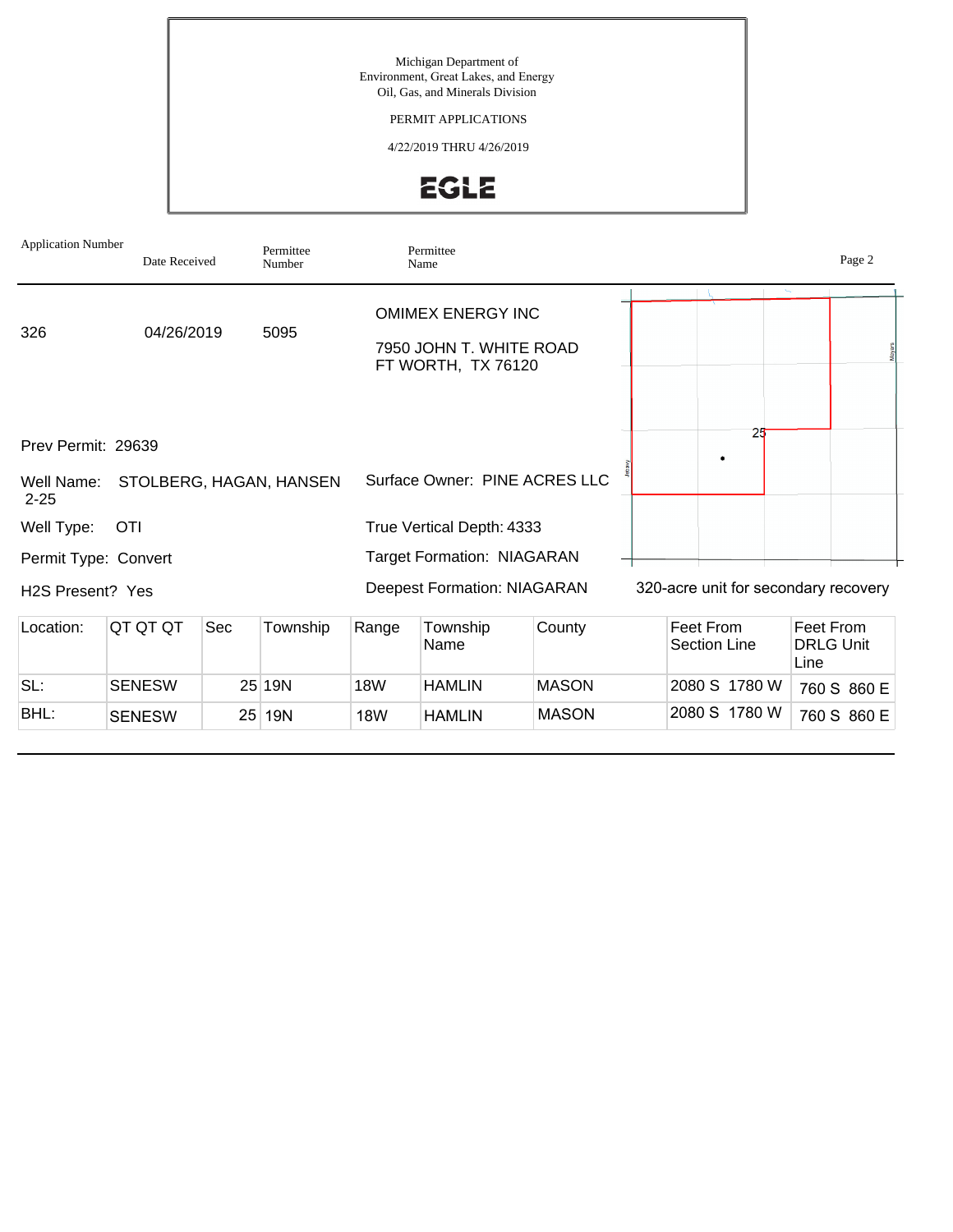# PERMIT APPLICATIONS

4/22/2019 THRU 4/26/2019



| <b>Application Number</b>                    | Date Received |                 | Permittee<br>Number     |            | Permittee<br>Name                                                         |              |                           |                                      |                                       | Page 2      |
|----------------------------------------------|---------------|-----------------|-------------------------|------------|---------------------------------------------------------------------------|--------------|---------------------------|--------------------------------------|---------------------------------------|-------------|
| 326                                          | 04/26/2019    |                 | 5095                    |            | <b>OMIMEX ENERGY INC</b><br>7950 JOHN T. WHITE ROAD<br>FT WORTH, TX 76120 |              |                           |                                      |                                       |             |
| Prev Permit: 29639<br>Well Name:<br>$2 - 25$ |               |                 | STOLBERG, HAGAN, HANSEN |            | Surface Owner: PINE ACRES LLC                                             |              |                           | 25                                   |                                       |             |
| Well Type:                                   | <b>OTI</b>    |                 |                         |            | True Vertical Depth: 4333                                                 |              |                           |                                      |                                       |             |
| Permit Type: Convert                         |               |                 |                         |            | <b>Target Formation: NIAGARAN</b>                                         |              |                           |                                      |                                       |             |
| H <sub>2</sub> S Present? Yes                |               |                 |                         |            | <b>Deepest Formation: NIAGARAN</b>                                        |              |                           | 320-acre unit for secondary recovery |                                       |             |
| Location:                                    | QT QT QT      | Sec             | Township                | Range      | Township<br>Name                                                          | County       | Feet From<br>Section Line |                                      | Feet From<br><b>DRLG Unit</b><br>Line |             |
| SL:                                          | <b>SENESW</b> |                 | 25 19N                  | <b>18W</b> | HAMLIN                                                                    | <b>MASON</b> |                           | 2080 S 1780 W                        |                                       | 760 S 860 E |
| BHL:                                         | <b>SENESW</b> | 25 <sup>2</sup> | <b>19N</b>              | <b>18W</b> | <b>HAMLIN</b>                                                             | <b>MASON</b> |                           | 2080 S 1780 W                        |                                       | 760 S 860 E |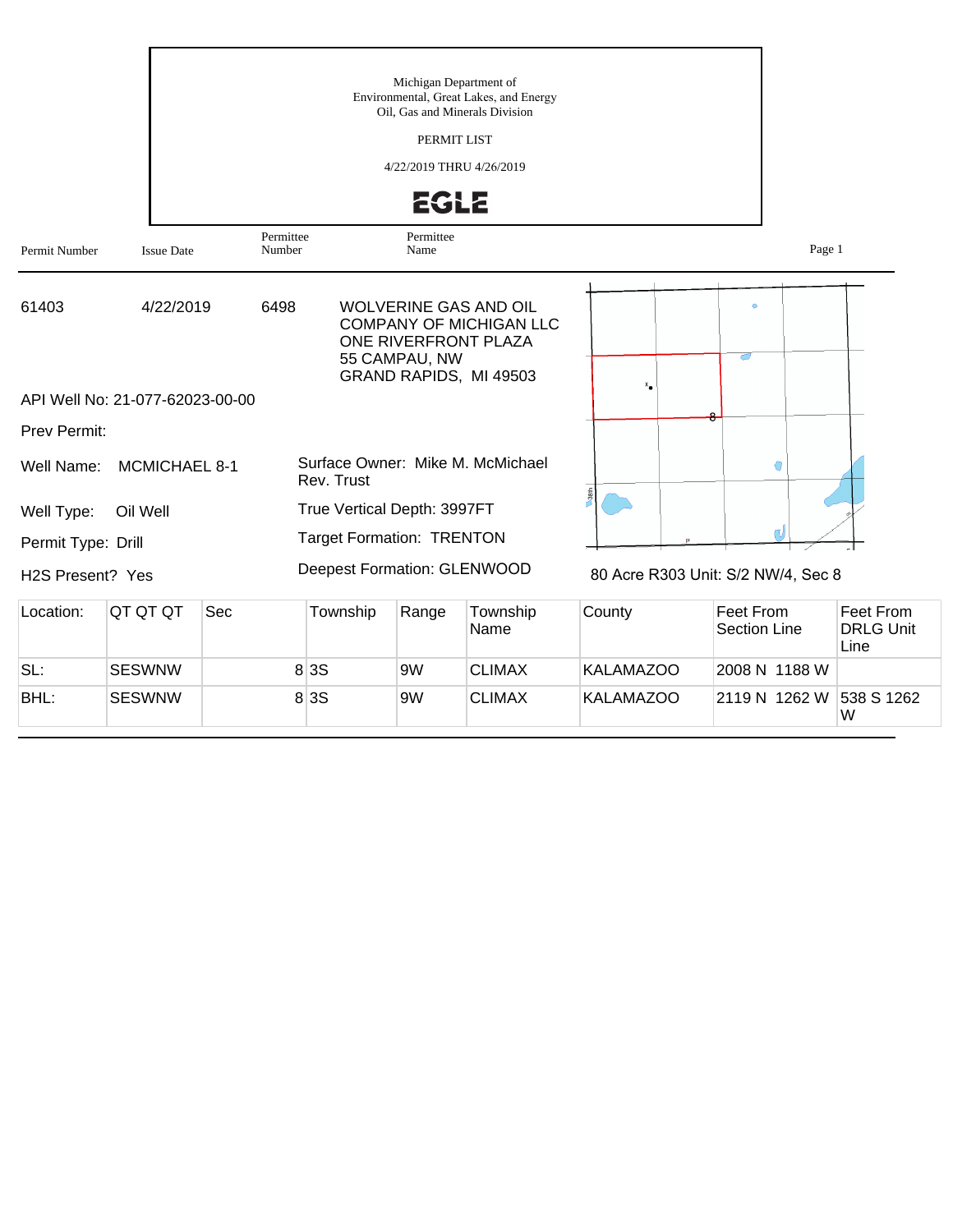|                    |                                 |     |                     |                                                | Michigan Department of<br>Oil, Gas and Minerals Division<br>PERMIT LIST<br>4/22/2019 THRU 4/26/2019<br><b>EGLE</b> | Environmental, Great Lakes, and Energy                                                   |                  |                                    |                                       |
|--------------------|---------------------------------|-----|---------------------|------------------------------------------------|--------------------------------------------------------------------------------------------------------------------|------------------------------------------------------------------------------------------|------------------|------------------------------------|---------------------------------------|
| Permit Number      | <b>Issue Date</b>               |     | Permittee<br>Number |                                                | Permittee<br>Name                                                                                                  |                                                                                          |                  | Page 1                             |                                       |
| 61403              | 4/22/2019                       |     | 6498                |                                                | ONE RIVERFRONT PLAZA<br>55 CAMPAU, NW                                                                              | <b>WOLVERINE GAS AND OIL</b><br><b>COMPANY OF MICHIGAN LLC</b><br>GRAND RAPIDS, MI 49503 | ×.               | ರ                                  |                                       |
|                    | API Well No: 21-077-62023-00-00 |     |                     |                                                |                                                                                                                    |                                                                                          |                  |                                    |                                       |
| Prev Permit:       |                                 |     |                     |                                                |                                                                                                                    |                                                                                          |                  |                                    |                                       |
| Well Name:         | MCMICHAEL 8-1                   |     |                     | Surface Owner: Mike M. McMichael<br>Rev. Trust |                                                                                                                    |                                                                                          |                  | G                                  |                                       |
| Well Type:         | Oil Well                        |     |                     | True Vertical Depth: 3997FT                    |                                                                                                                    |                                                                                          |                  |                                    |                                       |
| Permit Type: Drill |                                 |     |                     | <b>Target Formation: TRENTON</b>               |                                                                                                                    |                                                                                          |                  |                                    |                                       |
| H2S Present? Yes   |                                 |     |                     | Deepest Formation: GLENWOOD                    |                                                                                                                    |                                                                                          |                  | 80 Acre R303 Unit: S/2 NW/4, Sec 8 |                                       |
| Location:          | QT QT QT                        | Sec |                     | Township                                       | Range                                                                                                              | Township<br>Name                                                                         | County           | Feet From<br><b>Section Line</b>   | Feet From<br><b>DRLG Unit</b><br>Line |
| SL:                | <b>SESWNW</b>                   |     |                     | 8 3 S                                          | 9W                                                                                                                 | <b>CLIMAX</b>                                                                            | <b>KALAMAZOO</b> | 2008 N 1188 W                      |                                       |
| BHL:               | <b>SESWNW</b>                   |     |                     | 8 3 S                                          | 9W                                                                                                                 | <b>CLIMAX</b>                                                                            | <b>KALAMAZOO</b> | 2119 N 1262 W                      | 538 S 1262<br>W                       |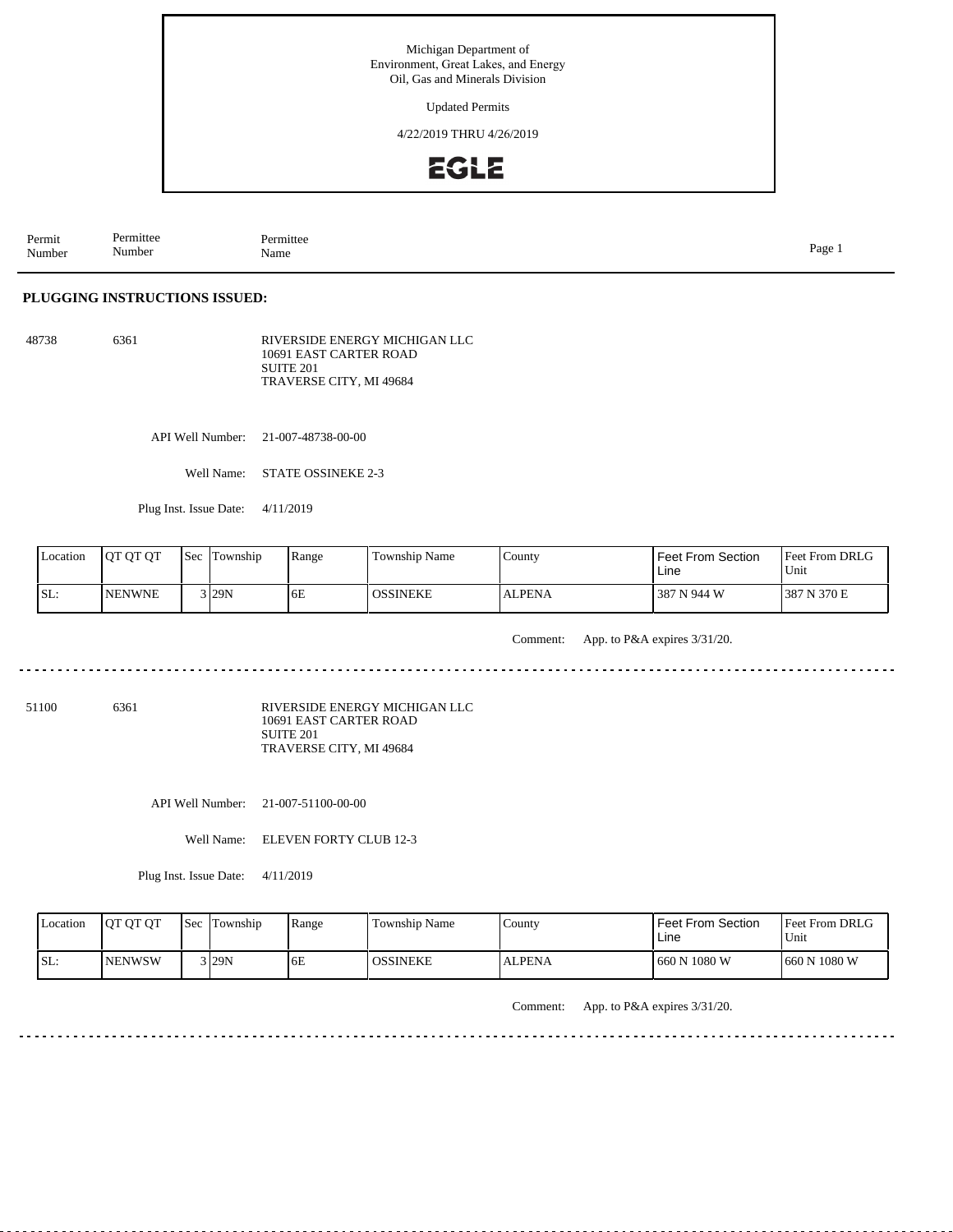Updated Permits

4/22/2019 THRU 4/26/2019



Permit Number Permittee Number Permittee<br>Name Name Page 1

#### **PLUGGING INSTRUCTIONS ISSUED:**

48738 6361 RIVERSIDE ENERGY MICHIGAN LLC 10691 EAST CARTER ROAD SUITE 201 TRAVERSE CITY, MI 49684

API Well Number: 21-007-48738-00-00

Well Name: STATE OSSINEKE 2-3

Plug Inst. Issue Date: 4/11/2019

| Location | <b>OT OT OT</b> | <b>Sec</b> | Township            | Range | <b>Township Name</b> | County        | Feet From Section<br>Line | <b>Feet From DRLG</b><br>Unit |
|----------|-----------------|------------|---------------------|-------|----------------------|---------------|---------------------------|-------------------------------|
| ISL:     | <b>NENWNE</b>   |            | $3$ <sub>29</sub> N | 6E    | <b>OSSINEKE</b>      | <b>ALPENA</b> | 387 N 944 W               | N 370 E<br>387                |

Comment: App. to P&A expires 3/31/20.

dia a a a

ت با با با

 $2.22222222$ 

51100 6361

RIVERSIDE ENERGY MICHIGAN LLC 10691 EAST CARTER ROAD SUITE 201 TRAVERSE CITY, MI 49684

API Well Number: 21-007-51100-00-00

Well Name: ELEVEN FORTY CLUB 12-3

Plug Inst. Issue Date: 4/11/2019

| Location | <b>IOT OT OT</b> | <b>Sec</b> Township | Range | Township Name | County        | Feet From Section<br>Line | <b>Feet From DRLG</b><br>Unit |
|----------|------------------|---------------------|-------|---------------|---------------|---------------------------|-------------------------------|
| ISL:     | <b>INENWSW</b>   | $3$ <sub>29N</sub>  | 6E    | OSSINEKE      | <b>ALPENA</b> | 1660 N 1080 W             | 660 N 1080 W                  |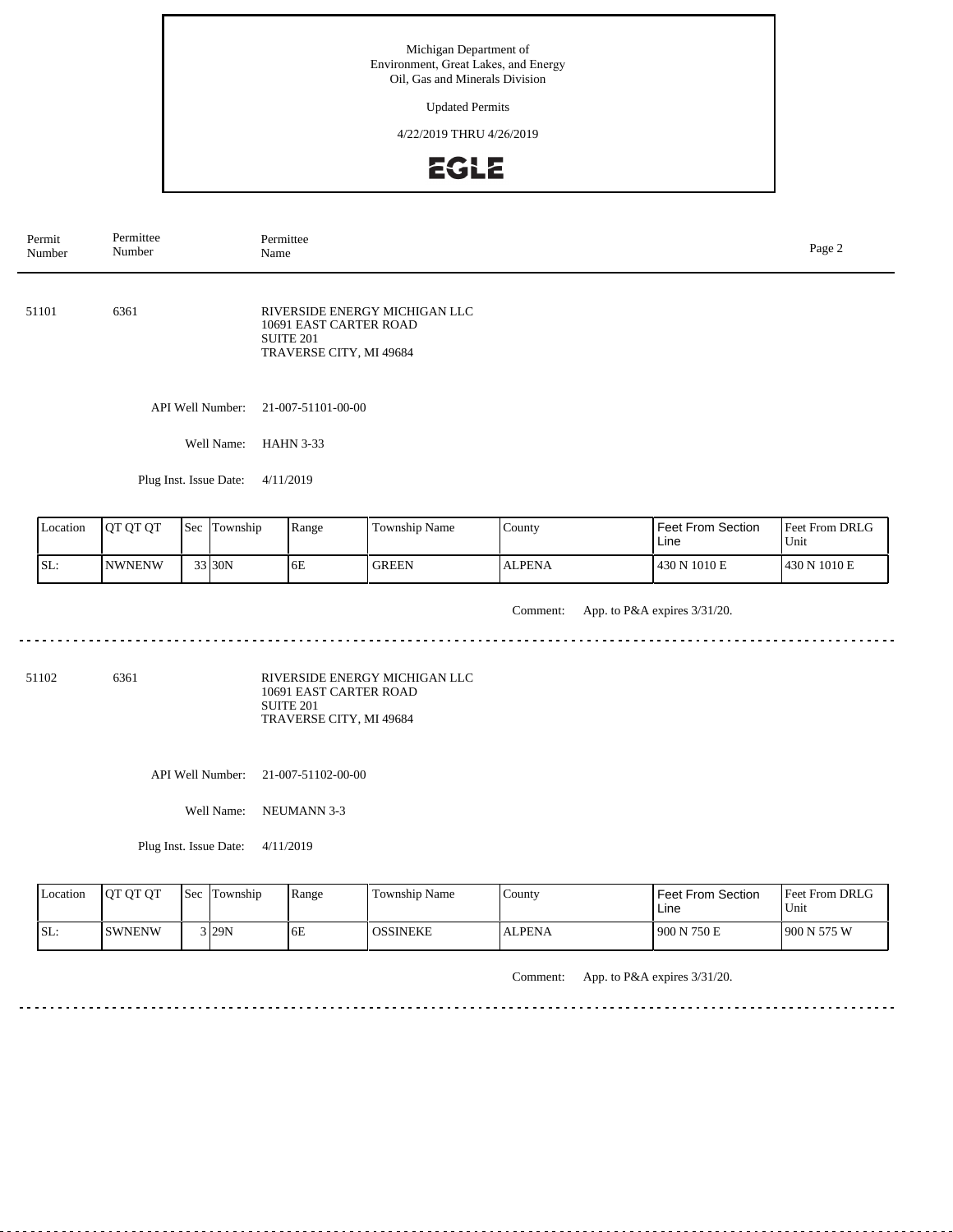Updated Permits

4/22/2019 THRU 4/26/2019



| Permit<br>Number |                                                                                                                | Permittee<br>Number    |  |                  | Permittee<br>Name  |               |               |                           |                        |  |  |  |
|------------------|----------------------------------------------------------------------------------------------------------------|------------------------|--|------------------|--------------------|---------------|---------------|---------------------------|------------------------|--|--|--|
| 51101            | 6361<br>RIVERSIDE ENERGY MICHIGAN LLC<br>10691 EAST CARTER ROAD<br><b>SUITE 201</b><br>TRAVERSE CITY, MI 49684 |                        |  |                  |                    |               |               |                           |                        |  |  |  |
|                  |                                                                                                                |                        |  | API Well Number: | 21-007-51101-00-00 |               |               |                           |                        |  |  |  |
|                  |                                                                                                                |                        |  | Well Name:       | <b>HAHN 3-33</b>   |               |               |                           |                        |  |  |  |
|                  |                                                                                                                | Plug Inst. Issue Date: |  | 4/11/2019        |                    |               |               |                           |                        |  |  |  |
|                  |                                                                                                                | Sec Township           |  |                  |                    |               |               |                           |                        |  |  |  |
|                  | Location                                                                                                       | QT QT QT               |  |                  | Range              | Township Name | County        | Feet From Section<br>Line | Feet From DRLG<br>Unit |  |  |  |
| SL:              |                                                                                                                | <b>NWNENW</b>          |  | 33 30N           | 6E                 | <b>GREEN</b>  | <b>ALPENA</b> | 430 N 1010 E              | 430 N 1010 E           |  |  |  |

Comment: App. to P&A expires 3/31/20. 

51102 6361

RIVERSIDE ENERGY MICHIGAN LLC 10691 EAST CARTER ROAD SUITE 201 TRAVERSE CITY, MI 49684

API Well Number: 21-007-51102-00-00

Well Name: NEUMANN 3-3

Plug Inst. Issue Date: 4/11/2019

| Location | <b>IOT OT OT</b> | Sec | Township | Range | <b>Township Name</b> | County        | <b>Feet From Section</b><br>Lıne | <b>Feet From DRLG</b><br>Unit |
|----------|------------------|-----|----------|-------|----------------------|---------------|----------------------------------|-------------------------------|
| SL:      | <b>ISWNENW</b>   |     | $3$ 29N  | 6E    | <b>OSSINEKE</b>      | <b>ALPENA</b> | 900 N 750 E                      | 1900 N 575 W                  |

Comment: App. to P&A expires 3/31/20.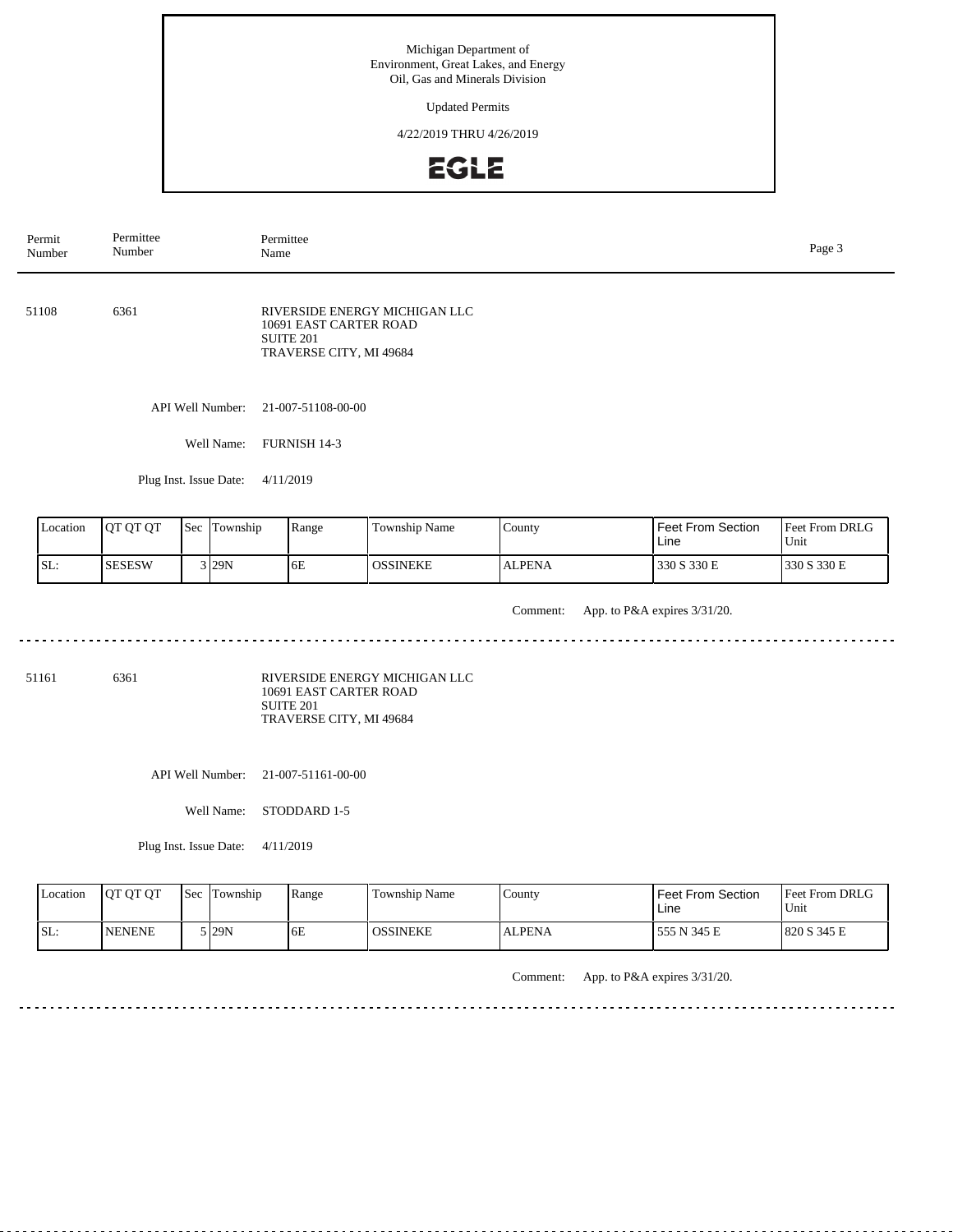Updated Permits

4/22/2019 THRU 4/26/2019



| Permit<br>Number                                                                                      | Permittee<br>Number                 | Permittee<br>Name |                  |                                                                                                        |                 |               |                        |             |  |  |
|-------------------------------------------------------------------------------------------------------|-------------------------------------|-------------------|------------------|--------------------------------------------------------------------------------------------------------|-----------------|---------------|------------------------|-------------|--|--|
| 51108                                                                                                 | 6361                                |                   |                  | RIVERSIDE ENERGY MICHIGAN LLC<br>10691 EAST CARTER ROAD<br><b>SUITE 201</b><br>TRAVERSE CITY, MI 49684 |                 |               |                        |             |  |  |
|                                                                                                       |                                     |                   | API Well Number: | 21-007-51108-00-00                                                                                     |                 |               |                        |             |  |  |
|                                                                                                       |                                     |                   | Well Name:       | FURNISH 14-3                                                                                           |                 |               |                        |             |  |  |
|                                                                                                       | Plug Inst. Issue Date:<br>4/11/2019 |                   |                  |                                                                                                        |                 |               |                        |             |  |  |
| Location<br>QT QT QT<br>Sec Township<br>Range<br>Township Name<br>County<br>Feet From Section<br>Line |                                     |                   |                  |                                                                                                        |                 |               | Feet From DRLG<br>Unit |             |  |  |
| SL:                                                                                                   | <b>SESESW</b>                       |                   | 3 29N            | 6E                                                                                                     | <b>OSSINEKE</b> | <b>ALPENA</b> | 330 S 330 E            | 330 S 330 E |  |  |

Comment: App. to P&A expires 3/31/20.

51161 6361

RIVERSIDE ENERGY MICHIGAN LLC 10691 EAST CARTER ROAD SUITE 201 TRAVERSE CITY, MI 49684

API Well Number: 21-007-51161-00-00

Well Name: STODDARD 1-5

Plug Inst. Issue Date: 4/11/2019

| Location | <b>OT OT OT</b> | <b>Sec</b> | Township | Range | Township Name | $\mathcal{L}$ ounty | <b>Feet From Section</b><br>Line | <b>Feet From DRLG</b><br>Unit |
|----------|-----------------|------------|----------|-------|---------------|---------------------|----------------------------------|-------------------------------|
| ISL:     | <b>INENENE</b>  |            | 5 I29N   | 6E    | OSSINEKE      | <b>ALPENA</b>       | 555 N 345 E                      | 1820 S 345 E                  |

Comment: App. to P&A expires 3/31/20.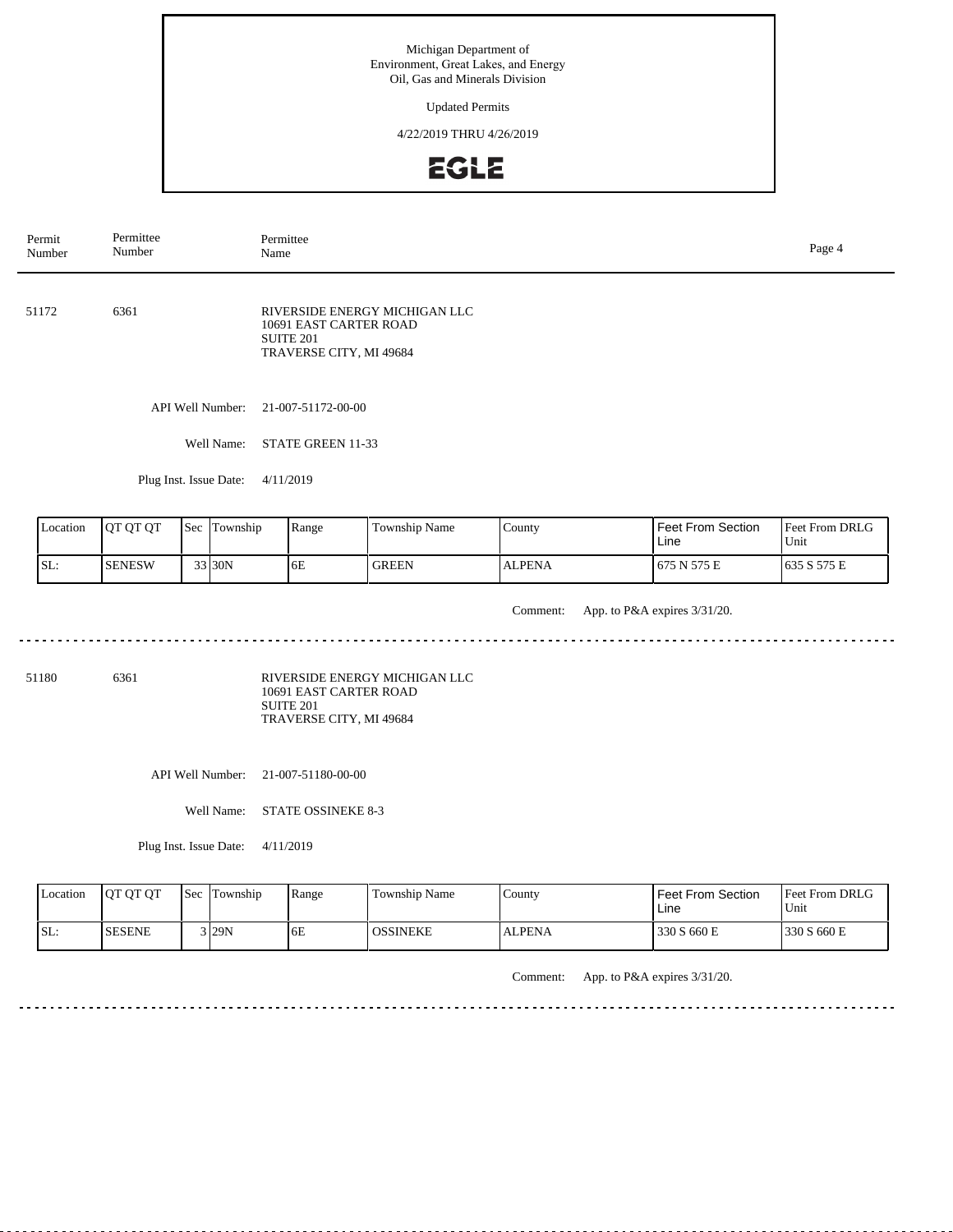Updated Permits

4/22/2019 THRU 4/26/2019



API Well Number: 21-007-51172-00-00 Well Name: STATE GREEN 11-33 Plug Inst. Issue Date: 4/11/2019 51172 6361 Feet From DRLG Unit 675 N 575 E 635 S 575 E Feet From Section Line County ALPENA Location | QT QT QT | Sec | Township | Range | Township Name SL: SENESW Township 33 30N 6E GREEN RIVERSIDE ENERGY MICHIGAN LLC 10691 EAST CARTER ROAD SUITE 201 TRAVERSE CITY, MI 49684 Permit Number Permittee Number Permittee<br>Name Name Page 4

Comment: App. to P&A expires 3/31/20.

a dia dia dia d 

51180 6361

RIVERSIDE ENERGY MICHIGAN LLC 10691 EAST CARTER ROAD SUITE 201 TRAVERSE CITY, MI 49684

API Well Number: 21-007-51180-00-00

Well Name: STATE OSSINEKE 8-3

Plug Inst. Issue Date: 4/11/2019

| Location | <b>OT OT OT</b> | <b>Sec</b> | Township | Range | Township Name | County        | <b>Feet From Section</b><br>Line | <b>Feet From DRLG</b><br>Unit |
|----------|-----------------|------------|----------|-------|---------------|---------------|----------------------------------|-------------------------------|
| ISL:     | <b>ISESENE</b>  |            | 129N     | 6E    | OSSINEKE      | <b>ALPENA</b> | 330 S 660 E                      | 1330 S 660 E                  |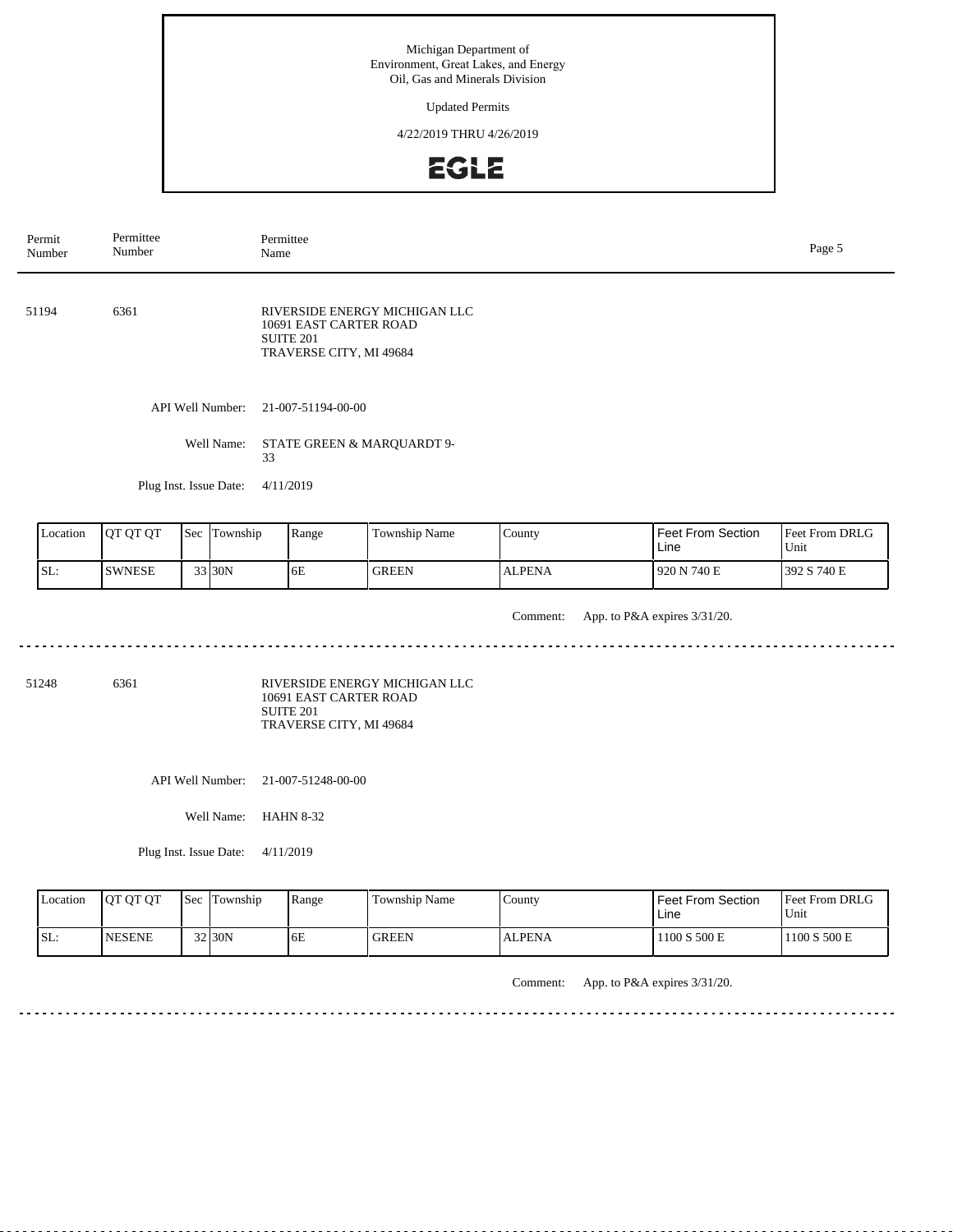Updated Permits

4/22/2019 THRU 4/26/2019



| Permit<br>Number                                                                                           | Permittee<br>Number    |  |            | Permittee<br>Name                                                     |                               |               |  |                              | Page 5                 |  |  |  |
|------------------------------------------------------------------------------------------------------------|------------------------|--|------------|-----------------------------------------------------------------------|-------------------------------|---------------|--|------------------------------|------------------------|--|--|--|
| 51194                                                                                                      | 6361                   |  |            | 10691 EAST CARTER ROAD<br><b>SUITE 201</b><br>TRAVERSE CITY, MI 49684 | RIVERSIDE ENERGY MICHIGAN LLC |               |  |                              |                        |  |  |  |
|                                                                                                            | API Well Number:       |  |            |                                                                       |                               |               |  |                              |                        |  |  |  |
|                                                                                                            |                        |  | Well Name: | 33                                                                    | STATE GREEN & MARQUARDT 9-    |               |  |                              |                        |  |  |  |
|                                                                                                            | Plug Inst. Issue Date: |  |            | 4/11/2019                                                             |                               |               |  |                              |                        |  |  |  |
| QT QT QT<br>County<br>Sec  <br>Township<br>Range<br>Location<br>Township Name<br>Feet From Section<br>Line |                        |  |            |                                                                       |                               |               |  |                              | Feet From DRLG<br>Unit |  |  |  |
| SL:                                                                                                        | <b>SWNESE</b>          |  | 33 30N     | 6E                                                                    | <b>GREEN</b>                  | <b>ALPENA</b> |  | 920 N 740 E                  | 392 S 740 E            |  |  |  |
|                                                                                                            |                        |  |            |                                                                       |                               | Comment:      |  | App. to P&A expires 3/31/20. |                        |  |  |  |

<u>. . . . . . . . .</u>

51248 6361

RIVERSIDE ENERGY MICHIGAN LLC 10691 EAST CARTER ROAD SUITE 201 TRAVERSE CITY, MI 49684

API Well Number: 21-007-51248-00-00

Well Name: HAHN 8-32

Plug Inst. Issue Date: 4/11/2019

| Location | <b>IOT OT OT</b> | <b>Sec Township</b> | Range | Township Name | County        | <b>Feet From Section</b><br>Line | Feet From DRLG<br>Unit |
|----------|------------------|---------------------|-------|---------------|---------------|----------------------------------|------------------------|
| ISL:     | <b>INESENE</b>   | $32$ 30N            | 6E    | <b>GREEN</b>  | <b>ALPENA</b> | 1100 S 500 E                     | 1100 S 500 E           |

Comment: App. to P&A expires 3/31/20.

<u>. . . . . . . . . . . . .</u>

 $\sim$   $\sim$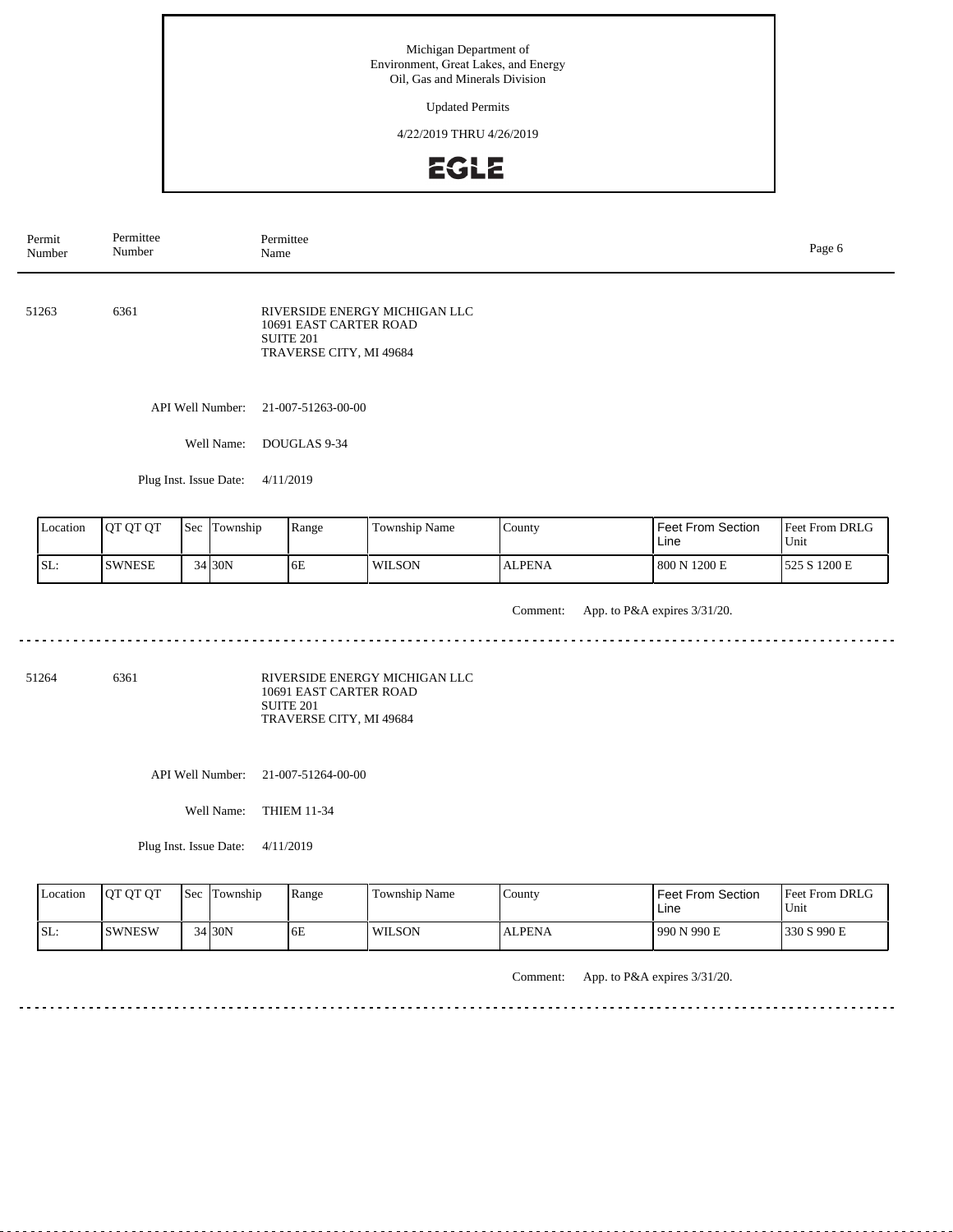Updated Permits

4/22/2019 THRU 4/26/2019



API Well Number: 21-007-51263-00-00 Well Name: DOUGLAS 9-34 Plug Inst. Issue Date: 4/11/2019 51263 6361 Feet From DRLG Unit 800 N 1200 E 525 S 1200 E Feet From Section Line County ALPENA Location | QT QT QT | Sec | Township | Range | Township Name SL: SWNESE Township 34 30N 6E WILSON RIVERSIDE ENERGY MICHIGAN LLC 10691 EAST CARTER ROAD SUITE 201 TRAVERSE CITY, MI 49684 Permit Number Permittee Number Permittee<br>Name Name Page 6

Comment: App. to P&A expires 3/31/20.

51264 6361

RIVERSIDE ENERGY MICHIGAN LLC 10691 EAST CARTER ROAD SUITE 201 TRAVERSE CITY, MI 49684

API Well Number: 21-007-51264-00-00

Well Name: THIEM 11-34

Plug Inst. Issue Date: 4/11/2019

<u>. . . . . . . .</u>

| Location | <b>OT OT OT</b> | <b>Sec</b> Township | Range | <b>Township Name</b> | County        | <b>Feet From Section</b><br>Line | <b>Feet From DRLG</b><br>'Unit |
|----------|-----------------|---------------------|-------|----------------------|---------------|----------------------------------|--------------------------------|
| SL:      | <b>ISWNESW</b>  | $34$ 30N            | 6E    | <b>WILSON</b>        | <b>ALPENA</b> | 990 N 990 E                      | 330 S 990 E                    |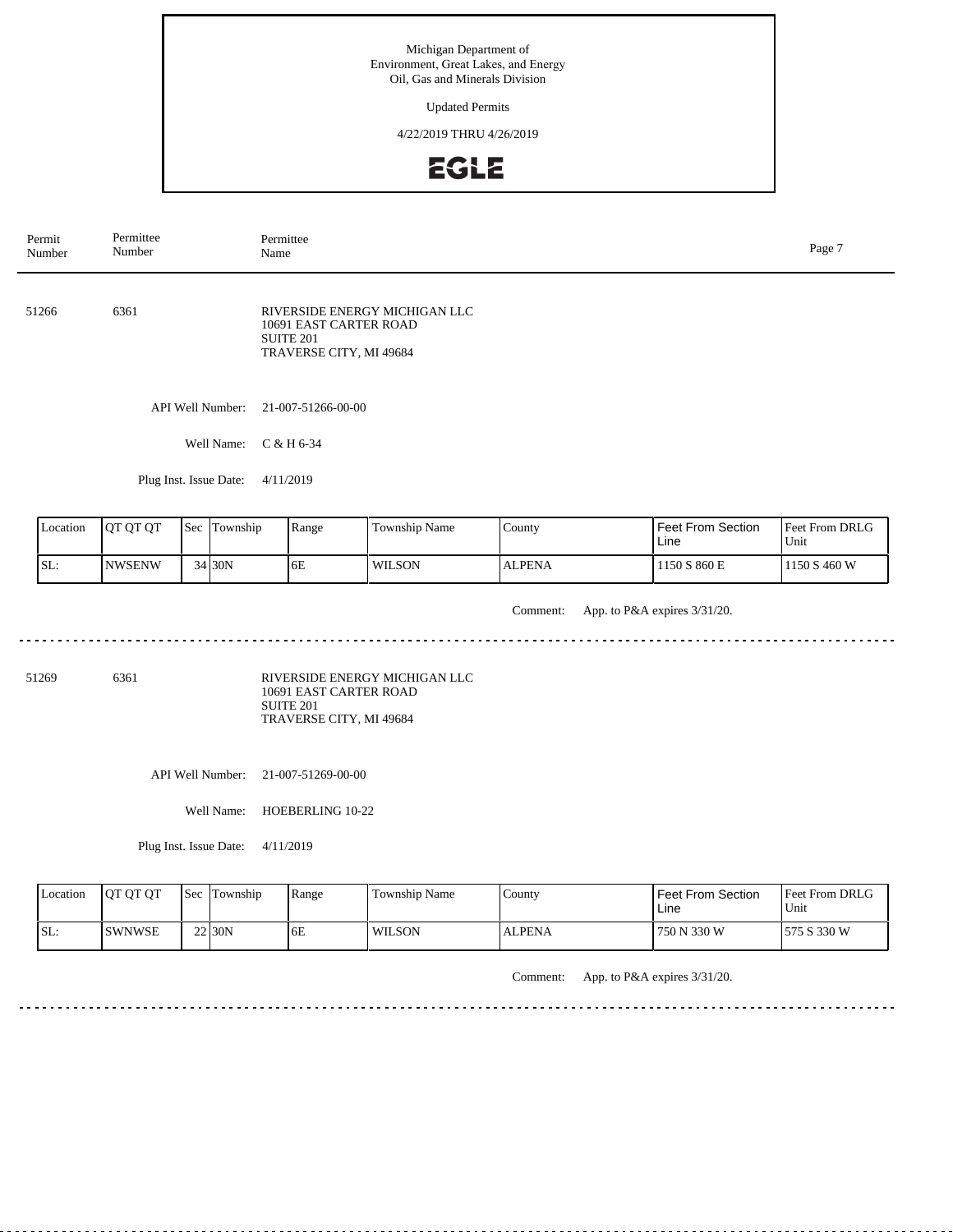Updated Permits

4/22/2019 THRU 4/26/2019



API Well Number: 21-007-51266-00-00 Well Name: C & H 6-34 Plug Inst. Issue Date: 4/11/2019 51266 6361 Feet From DRLG Unit 1150 S 860 E 1150 S 460 W Feet From Section Line County ALPENA Location | QT QT QT | Sec | Township | Range | Township Name SL: NWSENW Township 34 30N 6E WILSON RIVERSIDE ENERGY MICHIGAN LLC 10691 EAST CARTER ROAD SUITE 201 TRAVERSE CITY, MI 49684 Permit Number Permittee Number Permittee<br>Name Name Page 7

Comment: App. to P&A expires 3/31/20.

<u>. . . . . . . .</u> 

51269 6361

RIVERSIDE ENERGY MICHIGAN LLC 10691 EAST CARTER ROAD SUITE 201 TRAVERSE CITY, MI 49684

API Well Number: 21-007-51269-00-00

Well Name: HOEBERLING 10-22

Plug Inst. Issue Date: 4/11/2019

| Location | <b>OT OT OT</b> | <b>Sec</b> | Township | Range | Township Name | County        | <b>Feet From Section</b><br>Line | <b>Feet From DRLG</b><br>Unit |
|----------|-----------------|------------|----------|-------|---------------|---------------|----------------------------------|-------------------------------|
| ISL:     | <b>ISWNWSE</b>  |            | 22 30N   | 6E    | <b>WILSON</b> | <b>ALPENA</b> | 750 N 330 W                      | 575 S 330 W                   |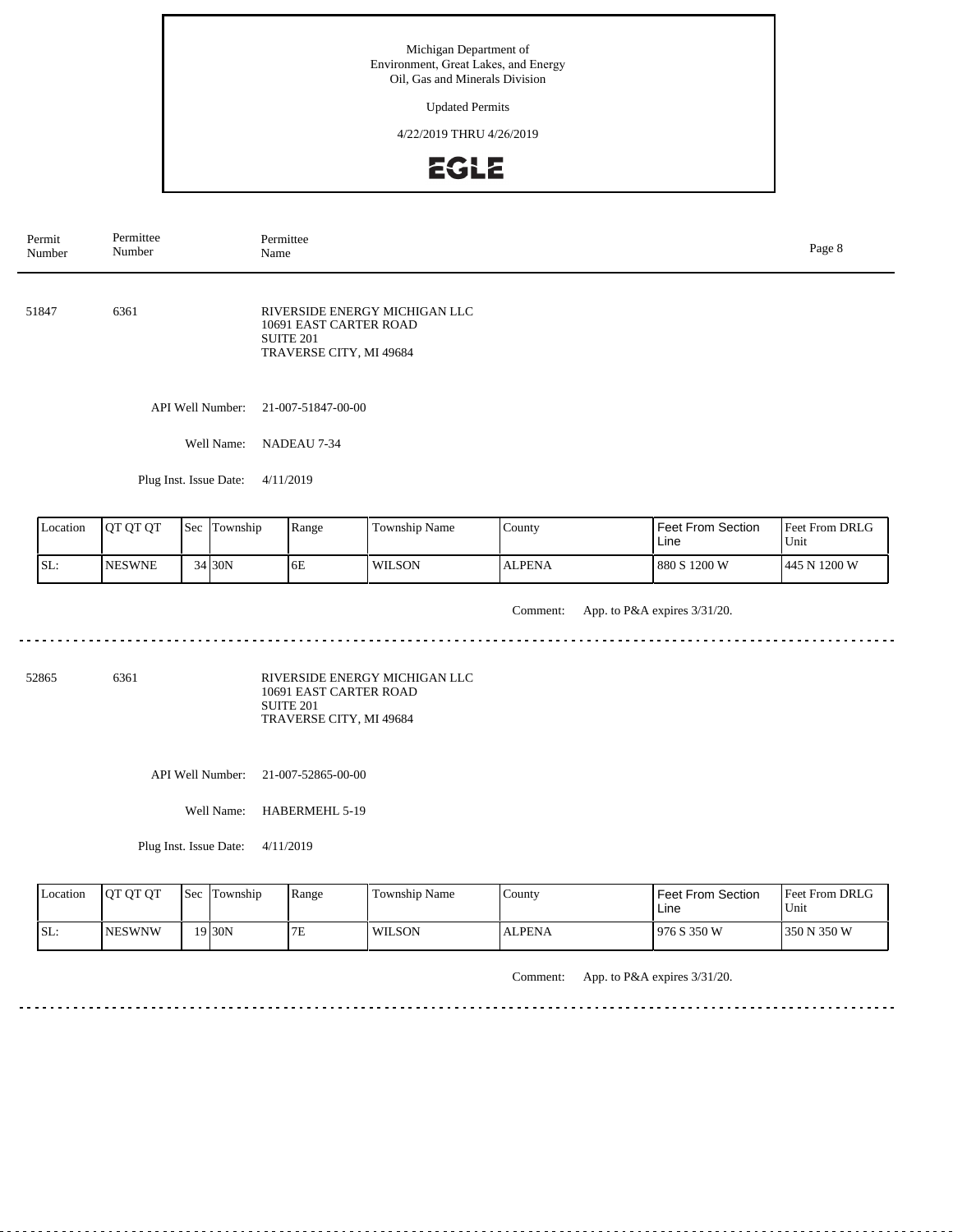Updated Permits

4/22/2019 THRU 4/26/2019



| Permit<br>Number                              | Permittee<br>Number |  |                  | Permittee<br>Page 8<br>Name                                           |                               |               |                                  |                        |  |
|-----------------------------------------------|---------------------|--|------------------|-----------------------------------------------------------------------|-------------------------------|---------------|----------------------------------|------------------------|--|
| 51847                                         | 6361                |  |                  | 10691 EAST CARTER ROAD<br><b>SUITE 201</b><br>TRAVERSE CITY, MI 49684 | RIVERSIDE ENERGY MICHIGAN LLC |               |                                  |                        |  |
|                                               |                     |  | API Well Number: | 21-007-51847-00-00                                                    |                               |               |                                  |                        |  |
|                                               |                     |  | Well Name:       | NADEAU 7-34                                                           |                               |               |                                  |                        |  |
| Plug Inst. Issue Date:                        |                     |  |                  | 4/11/2019                                                             |                               |               |                                  |                        |  |
| QT QT QT<br>Sec Township<br>Range<br>Location |                     |  |                  |                                                                       | Township Name                 | County        | <b>Feet From Section</b><br>Line | Feet From DRLG<br>Unit |  |
| SL:                                           | <b>NESWNE</b>       |  | 34 30N           | 6E                                                                    | <b>WILSON</b>                 | <b>ALPENA</b> | 880 S 1200 W                     | 445 N 1200 W           |  |

Comment: App. to P&A expires 3/31/20.

52865 6361

RIVERSIDE ENERGY MICHIGAN LLC 10691 EAST CARTER ROAD SUITE 201 TRAVERSE CITY, MI 49684

API Well Number: 21-007-52865-00-00

Well Name: HABERMEHL 5-19

Plug Inst. Issue Date: 4/11/2019

| Location | <b>IOT OT OT</b> | <b>Sec</b> | Township | Range | Township Name | County        | <b>Feet From Section</b><br>Line | <b>Feet From DRLG</b><br>Unit |
|----------|------------------|------------|----------|-------|---------------|---------------|----------------------------------|-------------------------------|
| ISL:     | <b>INESWNW</b>   |            | 19 30N   | 7E    | <b>WILSON</b> | <b>ALPENA</b> | 1976 S 350 W                     | 1350 N 350 W                  |

Comment: App. to P&A expires 3/31/20.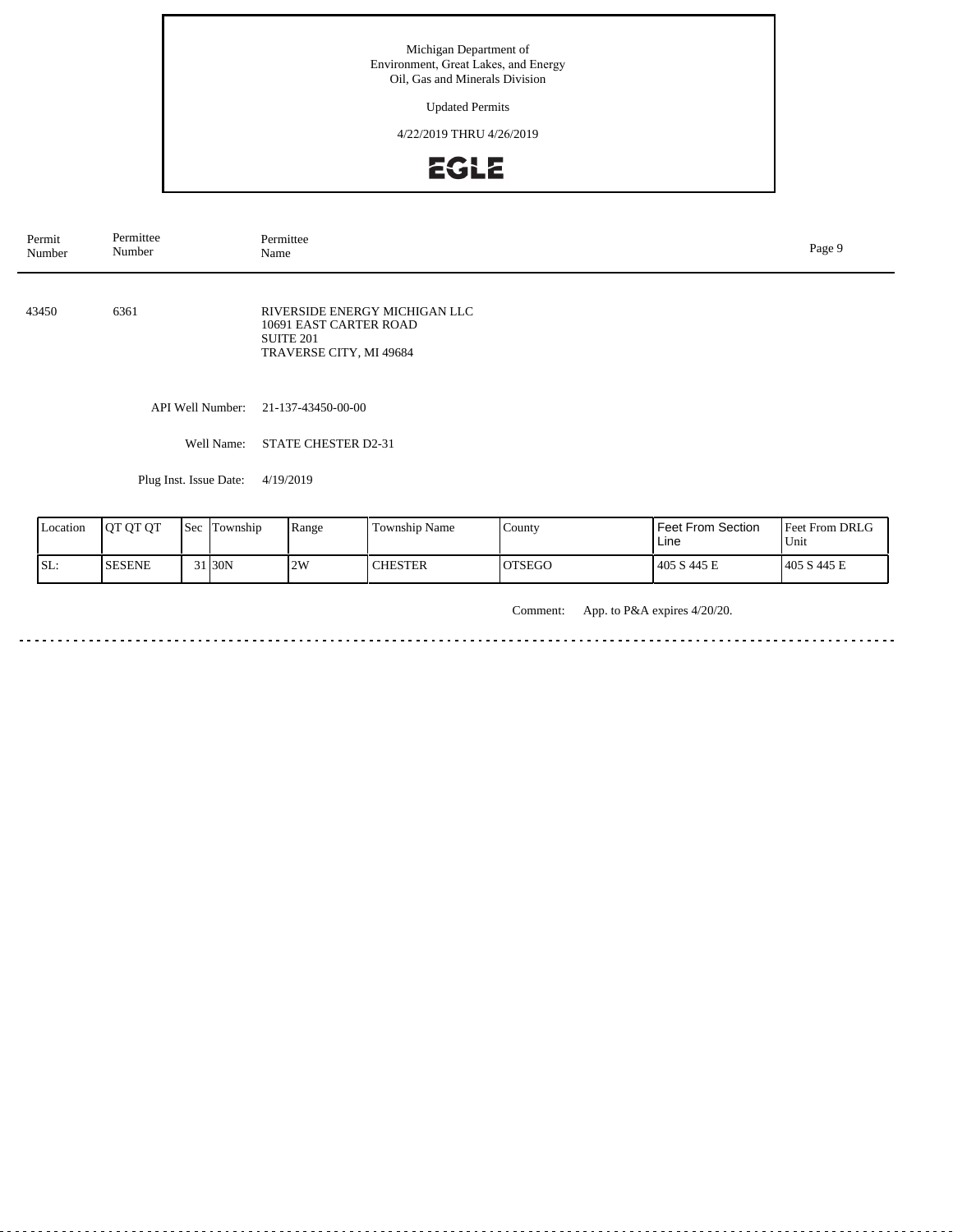Updated Permits

4/22/2019 THRU 4/26/2019



| Permit<br>Number | Permittee<br>Number    | Permittee<br>Page 9<br>Name                                                                     |  |  |  |
|------------------|------------------------|-------------------------------------------------------------------------------------------------|--|--|--|
| 43450            | 6361                   | RIVERSIDE ENERGY MICHIGAN LLC<br>10691 EAST CARTER ROAD<br>SUITE 201<br>TRAVERSE CITY, MI 49684 |  |  |  |
|                  | API Well Number:       | 21-137-43450-00-00                                                                              |  |  |  |
|                  | Well Name:             | <b>STATE CHESTER D2-31</b>                                                                      |  |  |  |
|                  | Plug Inst. Issue Date: | 4/19/2019                                                                                       |  |  |  |
|                  |                        |                                                                                                 |  |  |  |

| Location | <b>JOT OT OT</b> | <b>Sec</b> | lm<br>Township     | Range | Township Name  | County        | Feet From Section<br>Line | <b>Feet From DRLG</b><br>Unit |
|----------|------------------|------------|--------------------|-------|----------------|---------------|---------------------------|-------------------------------|
| SL:      | <b>SESENE</b>    |            | 31 <sub>30</sub> N | 2W    | <b>CHESTER</b> | <b>OTSEGO</b> | 405 S 445 E               | 405 S 445 E                   |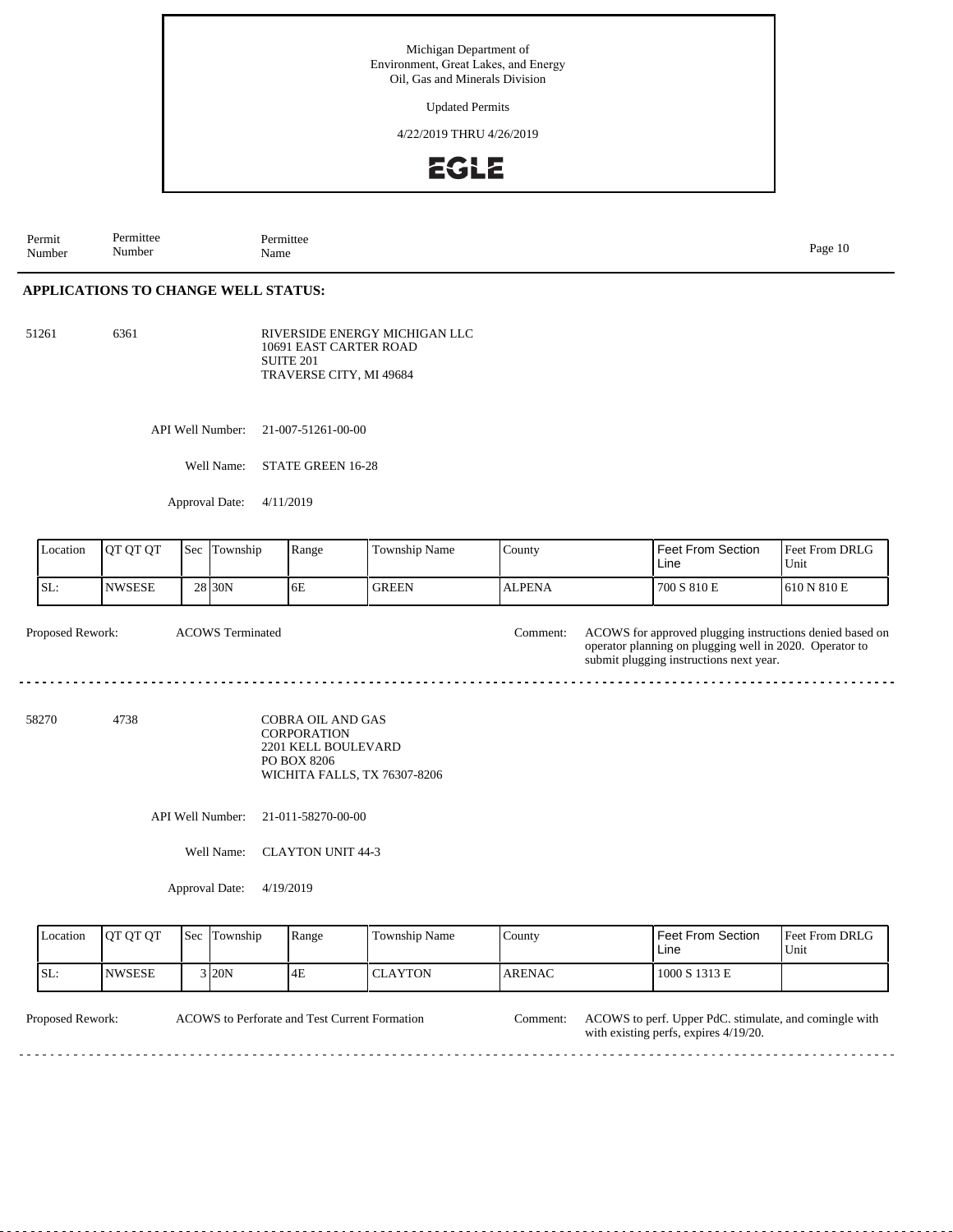Updated Permits

4/22/2019 THRU 4/26/2019



Permit Number Permittee Number Permittee<br>Name Name Page 10

### **APPLICATIONS TO CHANGE WELL STATUS:**

51261 6361

RIVERSIDE ENERGY MICHIGAN LLC 10691 EAST CARTER ROAD SUITE 201 TRAVERSE CITY, MI 49684

API Well Number: 21-007-51261-00-00

Well Name: STATE GREEN 16-28

Approval Date: 4/11/2019

| Location | QT QT QT                                    | Sec | Township         | Range                                                                                | Township Name                | County        | Feet From Section<br>Line                                                                                                                                      | Feet From DRLG<br>Unit |
|----------|---------------------------------------------|-----|------------------|--------------------------------------------------------------------------------------|------------------------------|---------------|----------------------------------------------------------------------------------------------------------------------------------------------------------------|------------------------|
| SL:      | <b>NWSESE</b>                               |     | 28 30N           | 6E                                                                                   | <b>GREEN</b>                 | <b>ALPENA</b> | 700 S 810 E                                                                                                                                                    | 610 N 810 E            |
|          | Proposed Rework:<br><b>ACOWS</b> Terminated |     |                  |                                                                                      |                              |               | ACOWS for approved plugging instructions denied based on<br>operator planning on plugging well in 2020. Operator to<br>submit plugging instructions next year. |                        |
| 58270    | 4738                                        |     |                  | <b>COBRA OIL AND GAS</b><br><b>CORPORATION</b><br>2201 KELL BOULEVARD<br>PO BOX 8206 | WICHITA FALLS, TX 76307-8206 |               |                                                                                                                                                                |                        |
|          |                                             |     | API Well Number: | 21-011-58270-00-00                                                                   |                              |               |                                                                                                                                                                |                        |
|          |                                             |     | Well Name:       | <b>CLAYTON UNIT 44-3</b>                                                             |                              |               |                                                                                                                                                                |                        |
|          |                                             |     | Approval Date:   | 4/19/2019                                                                            |                              |               |                                                                                                                                                                |                        |
| Location | QT QT QT                                    | Sec | Township         | Range                                                                                | Township Name                | County        | Feet From Section<br>Line                                                                                                                                      | Feet From DRLG<br>Unit |
| SL:      | <b>NWSESE</b>                               |     | 3 20N            | 4E                                                                                   | <b>CLAYTON</b>               | <b>ARENAC</b> | 1000 S 1313 E                                                                                                                                                  |                        |

 $\frac{1}{2} \left( \frac{1}{2} \right) \left( \frac{1}{2} \right) \left( \frac{1}{2} \right) \left( \frac{1}{2} \right)$ 

ACOWS to Perforate and Test Current Formation Comment:

المالم المالية المالية المالية

Proposed Rework: ACOWS to Perforate and Test Current Formation Comment: ACOWS to perf. Upper PdC. stimulate, and comingle with with existing perfs, expires 4/19/20.

. . . .